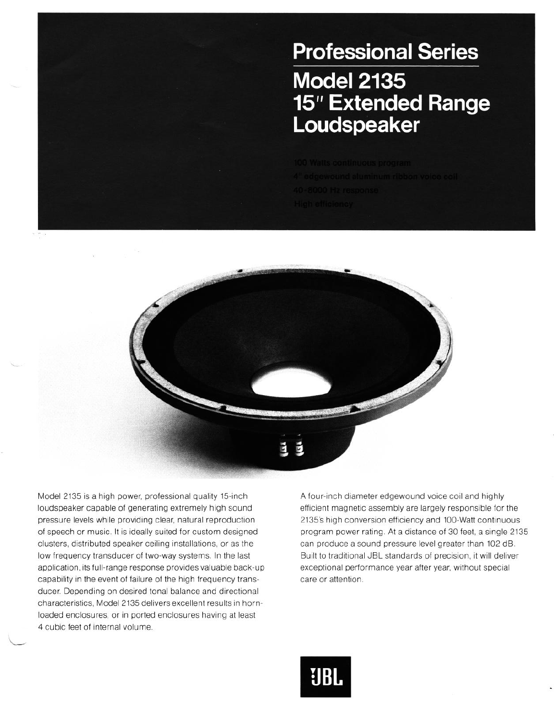## **Professional Series Model 2135 15" Extended Range** Loudspeaker



Model 2135 is a high power, professional quality 15-inch loudspeaker capable of generating extremely high sound pressure levels while providing clear, natural reproduction of speech or music. It is ideally suited for custom designed clusters, distributed speaker ceiling installations, or as the low frequency transducer of two-way systems. In the last application, its full-range response provides valuable back-up capability in the event of failure of the high frequency transducer. Depending on desired tonal balance and directional characteristics, Model 2135 delivers excellent results in hornloaded enclosures, or in ported enclosures having at least 4 cubic feet of internal volume

A four-inch diameter edgewound voice coil and highly efficient magnetic assembly are largely responsible for the 2135's high conversion efficiency and 100-Watt continuous program power rating. At a distance of 30 feet, a single 2135 can produce a sound pressure level greater than 102 dB. Built to traditional JBL standards of precision, it will deliver exceptional performance year after year, without special care or attention.